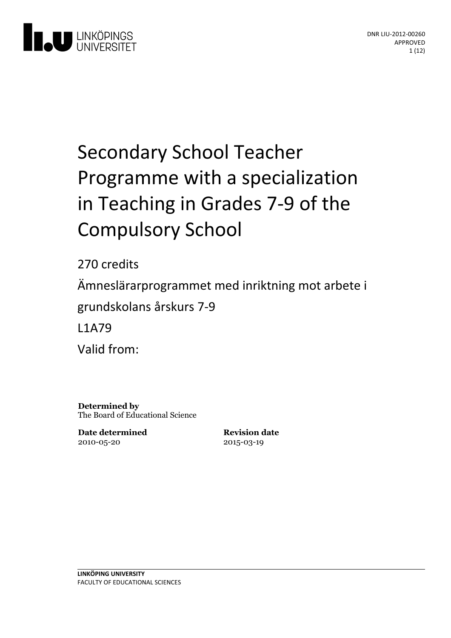

# Secondary School Teacher Programme with a specialization in Teaching in Grades 7-9 of the **Compulsory School**

270 credits Ämneslärarprogrammet med inriktning motarbete i grundskolansårskurs 7-9 L1A79 Valid from:

**Determined by** The Board of Educational Science

**Date determined** 2010-05-20

**Revision date** 2015-03-19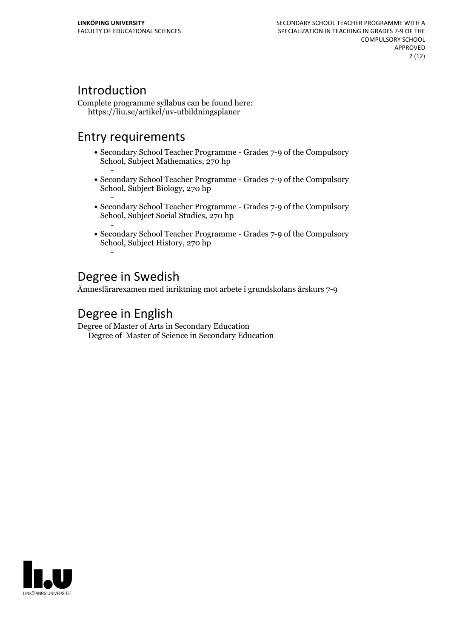# Introduction

Complete programme syllabus can be found here: https://liu.se/artikel/uv-utbildningsplaner

# Entry requirements

- Secondary School Teacher Programme Grades 7-9 of the Compulsory School, Subject Mathematics, 270 hp
- Secondary School Teacher Programme Grades 7-9 of the Compulsory School, Subject Biology, 270 hp
- Secondary School Teacher Programme Grades 7-9 of the Compulsory School, Subject Social Studies, 270 hp
- Secondary School Teacher Programme Grades 7-9 of the Compulsory School, Subject History, 270 hp -

# Degree in Swedish

Ämneslärarexamen med inriktning mot arbete i grundskolans årskurs 7-9

# Degree in English

Degree of Master of Arts in Secondary Education Degree of Master of Science in Secondary Education

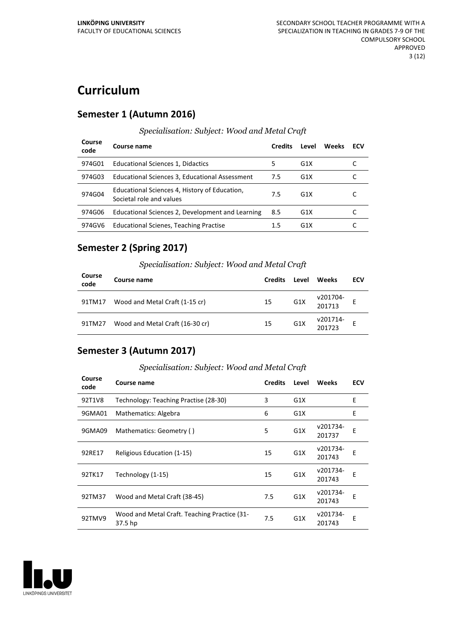# **Curriculum**

### **Semester 1 (Autumn 2016)**

#### *Specialisation: Subject: Wood and Metal Craft*

| Course<br>code | Course name                                                               | <b>Credits</b> | Level            | Weeks | ECV |
|----------------|---------------------------------------------------------------------------|----------------|------------------|-------|-----|
| 974G01         | Educational Sciences 1, Didactics                                         | 5              | G1X              |       |     |
| 974G03         | Educational Sciences 3, Educational Assessment                            | 7.5            | G1X              |       |     |
| 974G04         | Educational Sciences 4, History of Education,<br>Societal role and values | 7.5            | G1X              |       |     |
| 974G06         | Educational Sciences 2, Development and Learning                          | 8.5            | G1X              |       |     |
| 974GV6         | Educational Scienes, Teaching Practise                                    | 1.5            | G <sub>1</sub> X |       |     |

### **Semester 2 (Spring 2017)**

#### *Specialisation: Subject: Wood and Metal Craft*

| Course<br>code | Course name                     | <b>Credits</b> | Level            | Weeks              | ECV |
|----------------|---------------------------------|----------------|------------------|--------------------|-----|
| 91TM17         | Wood and Metal Craft (1-15 cr)  | 15             | G <sub>1</sub> X | v201704-<br>201713 |     |
| 91TM27         | Wood and Metal Craft (16-30 cr) | 15             | G <sub>1</sub> X | v201714-<br>201723 |     |

### **Semester 3 (Autumn 2017)**

#### *Specialisation: Subject: Wood and Metal Craft*

| Course<br>code | Course name                                             | <b>Credits</b> | Level            | <b>Weeks</b>       | <b>ECV</b> |
|----------------|---------------------------------------------------------|----------------|------------------|--------------------|------------|
| 92T1V8         | Technology: Teaching Practise (28-30)                   | 3              | G1X              |                    | E          |
| 9GMA01         | Mathematics: Algebra                                    | 6              | G1X              |                    | E          |
| 9GMA09         | Mathematics: Geometry ()                                | 5              | G <sub>1</sub> X | v201734-<br>201737 | E          |
| 92RE17         | Religious Education (1-15)                              | 15             | G <sub>1</sub> X | v201734-<br>201743 | Е          |
| 92TK17         | Technology (1-15)                                       | 15             | G1X              | v201734-<br>201743 | F          |
| 92TM37         | Wood and Metal Craft (38-45)                            | 7.5            | G <sub>1</sub> X | v201734-<br>201743 | F          |
| 92TMV9         | Wood and Metal Craft. Teaching Practice (31-<br>37.5 hp | 7.5            | G <sub>1</sub> X | v201734-<br>201743 | Е          |

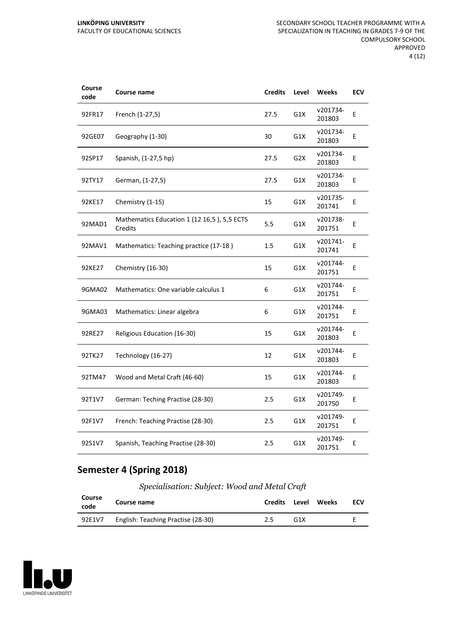| Course<br>code | Course name                                            | <b>Credits</b> | Level            | <b>Weeks</b>       | <b>ECV</b> |
|----------------|--------------------------------------------------------|----------------|------------------|--------------------|------------|
| 92FR17         | French (1-27,5)                                        | 27.5           | G1X              | v201734-<br>201803 | E          |
| 92GE07         | Geography (1-30)                                       | 30             | G1X              | v201734-<br>201803 | E          |
| 92SP17         | Spanish, (1-27,5 hp)                                   | 27.5           | G <sub>2</sub> X | v201734-<br>201803 | E          |
| 92TY17         | German, (1-27,5)                                       | 27.5           | G1X              | v201734-<br>201803 | E          |
| 92KE17         | Chemistry (1-15)                                       | 15             | G1X              | v201735-<br>201741 | E          |
| 92MAD1         | Mathematics Education 1 (12 16,5), 5,5 ECTS<br>Credits | 5.5            | G1X              | v201738-<br>201751 | E          |
| 92MAV1         | Mathematics: Teaching practice (17-18)                 | 1.5            | G1X              | v201741-<br>201741 | E          |
| 92KE27         | Chemistry (16-30)                                      | 15             | G1X              | v201744-<br>201751 | E          |
| 9GMA02         | Mathematics: One variable calculus 1                   | 6              | G1X              | v201744-<br>201751 | E          |
| 9GMA03         | Mathematics: Linear algebra                            | 6              | G1X              | v201744-<br>201751 | E          |
| 92RE27         | Religious Education (16-30)                            | 15             | G1X              | v201744-<br>201803 | E          |
| 92TK27         | Technology (16-27)                                     | 12             | G1X              | v201744-<br>201803 | E          |
| 92TM47         | Wood and Metal Craft (46-60)                           | 15             | G1X              | v201744-<br>201803 | E          |
| 92T1V7         | German: Teching Practise (28-30)                       | 2.5            | G1X              | v201749-<br>201750 | E          |
| 92F1V7         | French: Teaching Practise (28-30)                      | 2.5            | G1X              | v201749-<br>201751 | E          |
| 92S1V7         | Spanish, Teaching Practise (28-30)                     | 2.5            | G1X              | v201749-<br>201751 | E          |

## **Semester 4 (Spring 2018)**

*Specialisation: Subject: Wood and Metal Craft*

| Course<br>code | Course name                        | Credits Level |     | <b>Weeks</b> | ECV |
|----------------|------------------------------------|---------------|-----|--------------|-----|
| 92E1V7         | English: Teaching Practise (28-30) |               | G1X |              |     |

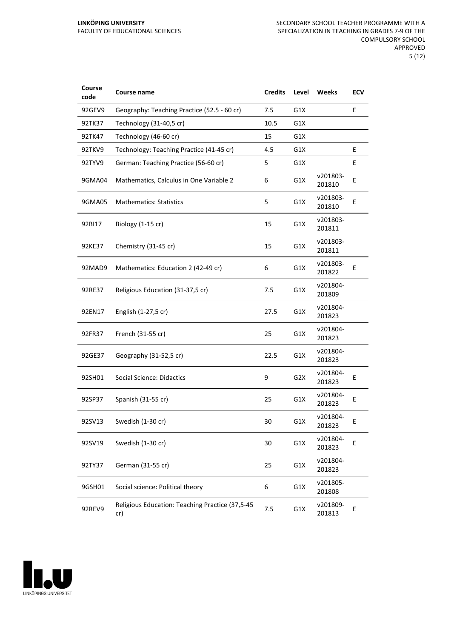| Course<br>code | Course name                                            | <b>Credits</b> | Level            | Weeks              | <b>ECV</b> |
|----------------|--------------------------------------------------------|----------------|------------------|--------------------|------------|
| 92GEV9         | Geography: Teaching Practice (52.5 - 60 cr)            | 7.5            | G1X              |                    | E          |
| 92TK37         | Technology (31-40,5 cr)                                | 10.5           | G1X              |                    |            |
| 92TK47         | Technology (46-60 cr)                                  | 15             | G1X              |                    |            |
| 92TKV9         | Technology: Teaching Practice (41-45 cr)               | 4.5            | G1X              |                    | E          |
| 92TYV9         | German: Teaching Practice (56-60 cr)                   | 5              | G1X              |                    | E          |
| 9GMA04         | Mathematics, Calculus in One Variable 2                | 6              | G1X              | v201803-<br>201810 | E          |
| 9GMA05         | <b>Mathematics: Statistics</b>                         | 5              | G1X              | v201803-<br>201810 | E          |
| 92BI17         | Biology (1-15 cr)                                      | 15             | G1X              | v201803-<br>201811 |            |
| 92KE37         | Chemistry (31-45 cr)                                   | 15             | G1X              | v201803-<br>201811 |            |
| 92MAD9         | Mathematics: Education 2 (42-49 cr)                    | 6              | G1X              | v201803-<br>201822 | E          |
| 92RE37         | Religious Education (31-37,5 cr)                       | 7.5            | G1X              | v201804-<br>201809 |            |
| 92EN17         | English (1-27,5 cr)                                    | 27.5           | G1X              | v201804-<br>201823 |            |
| 92FR37         | French (31-55 cr)                                      | 25             | G1X              | v201804-<br>201823 |            |
| 92GE37         | Geography (31-52,5 cr)                                 | 22.5           | G1X              | v201804-<br>201823 |            |
| 92SH01         | <b>Social Science: Didactics</b>                       | 9              | G <sub>2</sub> X | v201804-<br>201823 | E          |
| 92SP37         | Spanish (31-55 cr)                                     | 25             | G1X              | v201804-<br>201823 | E          |
| 92SV13         | Swedish (1-30 cr)                                      | 30             | G1X              | v201804-<br>201823 | Ε          |
| 92SV19         | Swedish (1-30 cr)                                      | 30             | G1X              | v201804-<br>201823 | E          |
| 92TY37         | German (31-55 cr)                                      | 25             | G1X              | v201804-<br>201823 |            |
| 9GSH01         | Social science: Political theory                       | 6              | G1X              | v201805-<br>201808 |            |
| 92REV9         | Religious Education: Teaching Practice (37,5-45<br>cr) | 7.5            | G1X              | v201809-<br>201813 | E          |

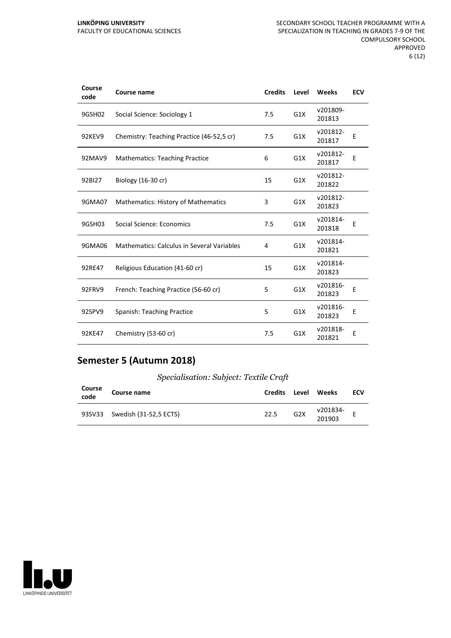#### **LINKÖPING UNIVERSITY** FACULTY OF EDUCATIONAL SCIENCES

| Course<br>code | Course name                                | <b>Credits</b> | Level | Weeks              | <b>ECV</b> |
|----------------|--------------------------------------------|----------------|-------|--------------------|------------|
| 9GSH02         | Social Science: Sociology 1                | 7.5            | G1X   | v201809-<br>201813 |            |
| 92KEV9         | Chemistry: Teaching Practice (46-52,5 cr)  | 7.5            | G1X   | v201812-<br>201817 | Е          |
| 92MAV9         | <b>Mathematics: Teaching Practice</b>      | 6              | G1X   | v201812-<br>201817 | E          |
| 92BI27         | Biology (16-30 cr)                         | 15             | G1X   | v201812-<br>201822 |            |
| 9GMA07         | <b>Mathematics: History of Mathematics</b> | 3              | G1X   | v201812-<br>201823 |            |
| 9GSH03         | Social Science: Economics                  | 7.5            | G1X   | v201814-<br>201818 | E          |
| 9GMA06         | Mathematics: Calculus in Several Variables | 4              | G1X   | v201814-<br>201821 |            |
| 92RE47         | Religious Education (41-60 cr)             | 15             | G1X   | v201814-<br>201823 |            |
| 92FRV9         | French: Teaching Practice (56-60 cr)       | 5              | G1X   | v201816-<br>201823 | E          |
| 92SPV9         | Spanish: Teaching Practice                 | 5              | G1X   | v201816-<br>201823 | E          |
| 92KE47         | Chemistry (53-60 cr)                       | 7.5            | G1X   | v201818-<br>201821 | E          |

### **Semester 5 (Autumn 2018)**

#### *Specialisation: Subject: Textile Craft*

| Course<br>code | Course name                   | <b>Credits</b> | Level            | Weeks              | ECV |
|----------------|-------------------------------|----------------|------------------|--------------------|-----|
|                | 93SV33 Swedish (31-52,5 ECTS) | 22.5           | G <sub>2</sub> X | v201834-<br>201903 |     |

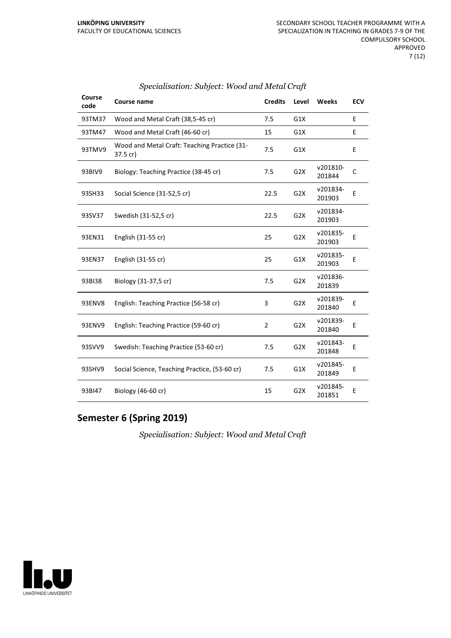| Course<br>code | Course name                                              | <b>Credits</b> | Level            | <b>Weeks</b>       | <b>ECV</b> |
|----------------|----------------------------------------------------------|----------------|------------------|--------------------|------------|
| 93TM37         | Wood and Metal Craft (38,5-45 cr)                        | 7.5            | G1X              |                    | E          |
| 93TM47         | Wood and Metal Craft (46-60 cr)                          | 15             | G1X              |                    | E          |
| 93TMV9         | Wood and Metal Craft: Teaching Practice (31-<br>37.5 cr) | 7.5            | G1X              |                    | E          |
| 93BIV9         | Biology: Teaching Practice (38-45 cr)                    | 7.5            | G <sub>2</sub> X | v201810-<br>201844 | C          |
| 93SH33         | Social Science (31-52,5 cr)                              | 22.5           | G <sub>2</sub> X | v201834-<br>201903 | E          |
| 93SV37         | Swedish (31-52,5 cr)                                     | 22.5           | G <sub>2</sub> X | v201834-<br>201903 |            |
| 93EN31         | English (31-55 cr)                                       | 25             | G <sub>2</sub> X | v201835-<br>201903 | E          |
| 93EN37         | English (31-55 cr)                                       | 25             | G1X              | v201835-<br>201903 | E          |
| 93BI38         | Biology (31-37,5 cr)                                     | 7.5            | G2X              | v201836-<br>201839 |            |
| 93ENV8         | English: Teaching Practice (56-58 cr)                    | 3              | G <sub>2</sub> X | v201839-<br>201840 | E          |
| 93ENV9         | English: Teaching Practice (59-60 cr)                    | $\overline{2}$ | G <sub>2</sub> X | v201839-<br>201840 | E          |
| 93SVV9         | Swedish: Teaching Practice (53-60 cr)                    | 7.5            | G <sub>2</sub> X | v201843-<br>201848 | E          |
| 93SHV9         | Social Science, Teaching Practice, (53-60 cr)            | 7.5            | G1X              | v201845-<br>201849 | E          |
| 93BI47         | Biology (46-60 cr)                                       | 15             | G <sub>2</sub> X | v201845-<br>201851 | E          |

#### *Specialisation: Subject: Wood and Metal Craft*

### **Semester 6 (Spring 2019)**

*Specialisation: Subject: Wood and Metal Craft*

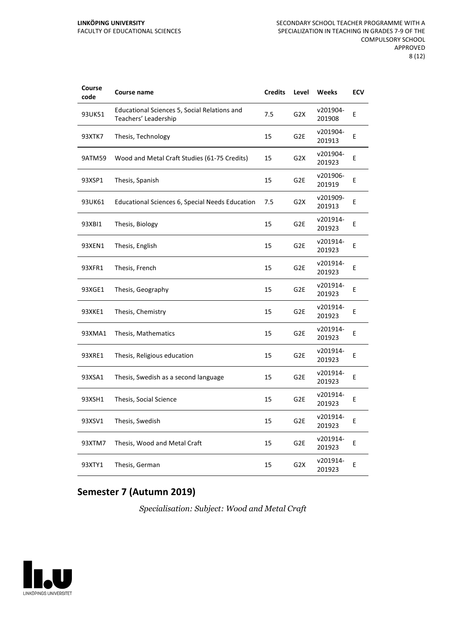| Course<br>code | Course name                                                          | <b>Credits</b> | Level            | Weeks              | <b>ECV</b> |
|----------------|----------------------------------------------------------------------|----------------|------------------|--------------------|------------|
| 93UK51         | Educational Sciences 5, Social Relations and<br>Teachers' Leadership | 7.5            | G2X              | v201904-<br>201908 | E          |
| 93XTK7         | Thesis, Technology                                                   | 15             | G <sub>2E</sub>  | v201904-<br>201913 | E          |
| 9ATM59         | Wood and Metal Craft Studies (61-75 Credits)                         | 15             | G <sub>2</sub> X | v201904-<br>201923 | E          |
| 93XSP1         | Thesis, Spanish                                                      | 15             | G <sub>2E</sub>  | v201906-<br>201919 | E          |
| 93UK61         | <b>Educational Sciences 6, Special Needs Education</b>               | 7.5            | G2X              | v201909-<br>201913 | Ε          |
| 93XBI1         | Thesis, Biology                                                      | 15             | G <sub>2E</sub>  | v201914-<br>201923 | E          |
| 93XEN1         | Thesis, English                                                      | 15             | G2E              | v201914-<br>201923 | E          |
| 93XFR1         | Thesis, French                                                       | 15             | G2E              | v201914-<br>201923 | E          |
| 93XGE1         | Thesis, Geography                                                    | 15             | G2E              | v201914-<br>201923 | E          |
| 93XKE1         | Thesis, Chemistry                                                    | 15             | G <sub>2E</sub>  | v201914-<br>201923 | E          |
| 93XMA1         | Thesis, Mathematics                                                  | 15             | G2E              | v201914-<br>201923 | E          |
| 93XRE1         | Thesis, Religious education                                          | 15             | G2E              | v201914-<br>201923 | E          |
| 93XSA1         | Thesis, Swedish as a second language                                 | 15             | G <sub>2E</sub>  | v201914-<br>201923 | Е          |
| 93XSH1         | Thesis, Social Science                                               | 15             | G <sub>2E</sub>  | v201914-<br>201923 | Е          |
| 93XSV1         | Thesis, Swedish                                                      | 15             | G <sub>2E</sub>  | v201914-<br>201923 | Е          |
| 93XTM7         | Thesis, Wood and Metal Craft                                         | 15             | G2E              | v201914-<br>201923 | Е          |
| 93XTY1         | Thesis, German                                                       | 15             | G2X              | v201914-<br>201923 | E          |

### **Semester 7 (Autumn 2019)**

*Specialisation: Subject: Wood and Metal Craft*

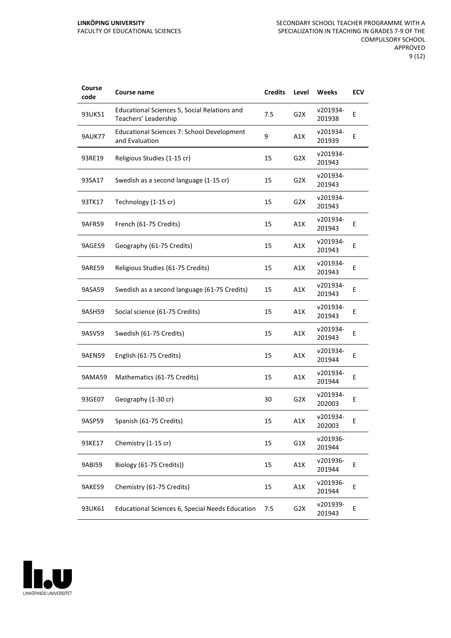| Course<br>code | Course name                                                          | <b>Credits</b> | Level            | Weeks              | <b>ECV</b> |
|----------------|----------------------------------------------------------------------|----------------|------------------|--------------------|------------|
| 93UK51         | Educational Sciences 5, Social Relations and<br>Teachers' Leadership | 7.5            | G2X              | v201934-<br>201938 | Ε          |
| <b>9AUK77</b>  | <b>Educational Sciences 7: School Development</b><br>and Evaluation  | 9              | A1X              | v201934-<br>201939 | E          |
| 93RE19         | Religious Studies (1-15 cr)                                          | 15             | G <sub>2</sub> X | v201934-<br>201943 |            |
| 93SA17         | Swedish as a second language (1-15 cr)                               | 15             | G <sub>2</sub> X | v201934-<br>201943 |            |
| 93TK17         | Technology (1-15 cr)                                                 | 15             | G2X              | v201934-<br>201943 |            |
| 9AFR59         | French (61-75 Credits)                                               | 15             | A1X              | v201934-<br>201943 | E          |
| 9AGE59         | Geography (61-75 Credits)                                            | 15             | A1X              | v201934-<br>201943 | E          |
| 9ARE59         | Religious Studies (61-75 Credits)                                    | 15             | A1X              | v201934-<br>201943 | Ε          |
| 9ASA59         | Swedish as a second language (61-75 Credits)                         | 15             | A1X              | v201934-<br>201943 | E          |
| 9ASH59         | Social science (61-75 Credits)                                       | 15             | A1X              | v201934-<br>201943 | E          |
| 9ASV59         | Swedish (61-75 Credits)                                              | 15             | A1X              | v201934-<br>201943 | E          |
| 9AEN59         | English (61-75 Credits)                                              | 15             | A1X              | v201934-<br>201944 | Ε          |
| 9AMA59         | Mathematics (61-75 Credits)                                          | 15             | A1X              | v201934-<br>201944 | E          |
| 93GE07         | Geography (1-30 cr)                                                  | 30             | G <sub>2</sub> X | v201934-<br>202003 | E          |
| 9ASP59         | Spanish (61-75 Credits)                                              | 15             | A1X              | v201934-<br>202003 | Ε          |
| 93KE17         | Chemistry (1-15 cr)                                                  | 15             | G1X              | v201936-<br>201944 |            |
| 9ABI59         | Biology (61-75 Credits))                                             | 15             | A1X              | v201936-<br>201944 | E          |
| 9AKE59         | Chemistry (61-75 Credits)                                            | 15             | A1X              | v201936-<br>201944 | Е          |
| 93UK61         | Educational Sciences 6, Special Needs Education                      | 7.5            | G <sub>2</sub> X | v201939-<br>201943 | E          |

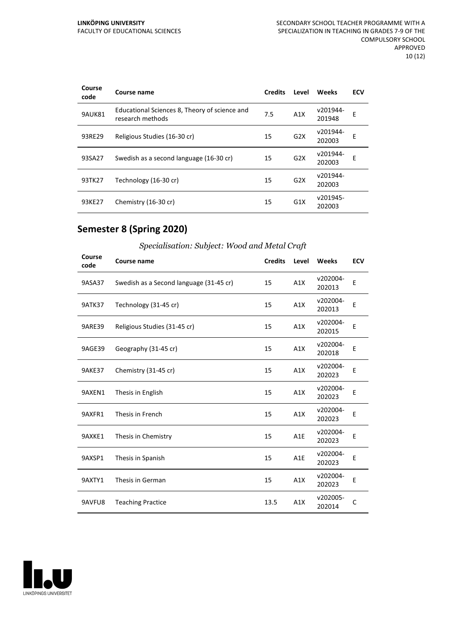| Course<br>code | Course name                                                       | <b>Credits</b> | Level            | Weeks              | <b>ECV</b> |
|----------------|-------------------------------------------------------------------|----------------|------------------|--------------------|------------|
| 9AUK81         | Educational Sciences 8, Theory of science and<br>research methods | 7.5            | A1X              | v201944-<br>201948 | E          |
| 93RE29         | Religious Studies (16-30 cr)                                      | 15             | G2X              | v201944-<br>202003 | E          |
| 93SA27         | Swedish as a second language (16-30 cr)                           | 15             | G2X              | v201944-<br>202003 | E          |
| 93TK27         | Technology (16-30 cr)                                             | 15             | G2X              | v201944-<br>202003 |            |
| 93KE27         | Chemistry (16-30 cr)                                              | 15             | G <sub>1</sub> X | v201945-<br>202003 |            |

### **Semester 8 (Spring 2020)**

| Specialisation: Subject: Wood and Metal Craft |
|-----------------------------------------------|
|                                               |

| Course<br>code | Course name                             | <b>Credits</b> | Level | Weeks              | <b>ECV</b> |
|----------------|-----------------------------------------|----------------|-------|--------------------|------------|
| 9ASA37         | Swedish as a Second language (31-45 cr) | 15             | A1X   | v202004-<br>202013 | E          |
| <b>9ATK37</b>  | Technology (31-45 cr)                   | 15             | A1X   | v202004-<br>202013 | E          |
| <b>9ARE39</b>  | Religious Studies (31-45 cr)            | 15             | A1X   | v202004-<br>202015 | E          |
| 9AGE39         | Geography (31-45 cr)                    | 15             | A1X   | v202004-<br>202018 | Е          |
| 9AKE37         | Chemistry (31-45 cr)                    | 15             | A1X   | v202004-<br>202023 | E          |
| 9AXEN1         | Thesis in English                       | 15             | A1X   | v202004-<br>202023 | E          |
| 9AXFR1         | Thesis in French                        | 15             | A1X   | v202004-<br>202023 | E          |
| 9AXKE1         | Thesis in Chemistry                     | 15             | A1E   | v202004-<br>202023 | E          |
| 9AXSP1         | Thesis in Spanish                       | 15             | A1E   | v202004-<br>202023 | E          |
| 9AXTY1         | Thesis in German                        | 15             | A1X   | v202004-<br>202023 | E          |
| 9AVFU8         | <b>Teaching Practice</b>                | 13.5           | A1X   | v202005-<br>202014 | C          |

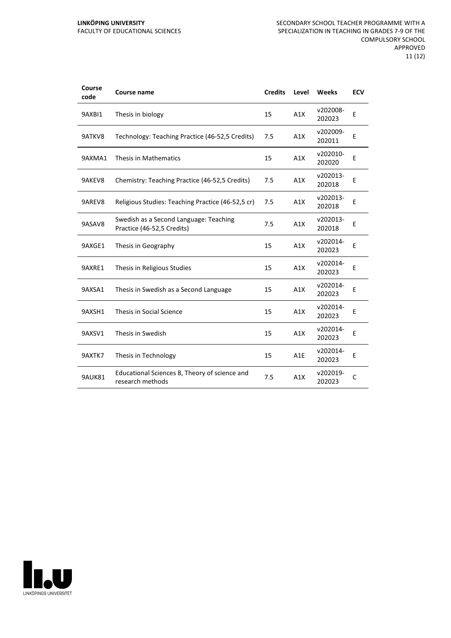| Course<br>code | Course name                                                          | <b>Credits</b> | Level | Weeks              | <b>ECV</b> |
|----------------|----------------------------------------------------------------------|----------------|-------|--------------------|------------|
| 9AXBI1         | Thesis in biology                                                    | 15             | A1X   | v202008-<br>202023 | E          |
| 9ATKV8         | Technology: Teaching Practice (46-52,5 Credits)                      | 7.5            | A1X   | v202009-<br>202011 | E          |
| 9AXMA1         | Thesis in Mathematics                                                | 15             | A1X   | v202010-<br>202020 | E          |
| 9AKEV8         | Chemistry: Teaching Practice (46-52,5 Credits)                       | 7.5            | A1X   | v202013-<br>202018 | E          |
| 9AREV8         | Religious Studies: Teaching Practice (46-52,5 cr)                    | 7.5            | A1X   | v202013-<br>202018 | E          |
| 9ASAV8         | Swedish as a Second Language: Teaching<br>Practice (46-52,5 Credits) | 7.5            | A1X   | v202013-<br>202018 | E          |
| 9AXGE1         | Thesis in Geography                                                  | 15             | A1X   | v202014-<br>202023 | E          |
| 9AXRE1         | Thesis in Religious Studies                                          | 15             | A1X   | v202014-<br>202023 | E          |
| 9AXSA1         | Thesis in Swedish as a Second Language                               | 15             | A1X   | v202014-<br>202023 | E          |
| 9AXSH1         | Thesis in Social Science                                             | 15             | A1X   | v202014-<br>202023 | E          |
| 9AXSV1         | Thesis in Swedish                                                    | 15             | A1X   | v202014-<br>202023 | E          |
| 9AXTK7         | Thesis in Technology                                                 | 15             | A1E   | v202014-<br>202023 | E          |
| 9AUK81         | Educational Sciences 8, Theory of science and<br>research methods    | 7.5            | A1X   | v202019-<br>202023 | C          |